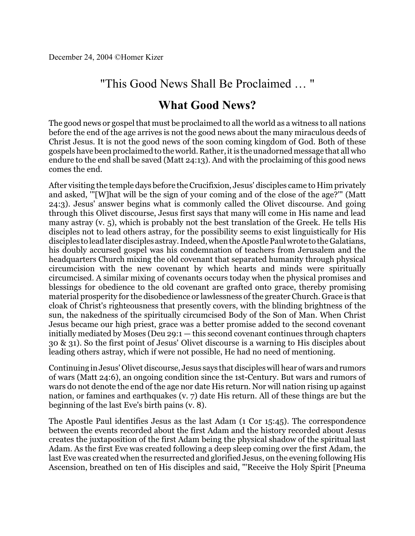## "This Good News Shall Be Proclaimed … "

## **What Good News?**

The good news or gospel that must be proclaimed to all the world as a witness to all nations before the end of the age arrives is not the good news about the many miraculous deeds of Christ Jesus. It is not the good news of the soon coming kingdom of God. Both of these gospels have been proclaimed to the world. Rather, itis the unadorned message that all who endure to the end shall be saved (Matt 24:13). And with the proclaiming of this good news comes the end.

After visiting the temple days before the Crucifixion, Jesus' disciples came to Him privately and asked, '"[W]hat will be the sign of your coming and of the close of the age?'" (Matt 24:3). Jesus' answer begins what is commonly called the Olivet discourse. And going through this Olivet discourse, Jesus first says that many will come in His name and lead many astray (v. 5), which is probably not the best translation of the Greek. He tells His disciples not to lead others astray, for the possibility seems to exist linguistically for His disciples to lead later disciples astray. Indeed, when the Apostle Paul wrote to the Galatians, his doubly accursed gospel was his condemnation of teachers from Jerusalem and the headquarters Church mixing the old covenant that separated humanity through physical circumcision with the new covenant by which hearts and minds were spiritually circumcised. A similar mixing of covenants occurs today when the physical promises and blessings for obedience to the old covenant are grafted onto grace, thereby promising material prosperity for the disobedience or lawlessness of the greater Church. Grace is that cloak of Christ's righteousness that presently covers, with the blinding brightness of the sun, the nakedness of the spiritually circumcised Body of the Son of Man. When Christ Jesus became our high priest, grace was a better promise added to the second covenant initially mediated by Moses (Deu 29:1 — this second covenant continues through chapters 30 & 31). So the first point of Jesus' Olivet discourse is a warning to His disciples about leading others astray, which if were not possible, He had no need of mentioning.

Continuing in Jesus'Olivet discourse, Jesus says that disciples will hear of wars and rumors of wars (Matt 24:6), an ongoing condition since the 1st-Century. But wars and rumors of wars do not denote the end of the age nor date His return. Nor will nation rising up against nation, or famines and earthquakes (v. 7) date His return. All of these things are but the beginning of the last Eve's birth pains (v. 8).

The Apostle Paul identifies Jesus as the last Adam (1 Cor 15:45). The correspondence between the events recorded about the first Adam and the history recorded about Jesus creates the juxtaposition of the first Adam being the physical shadow of the spiritual last Adam. As the first Eve was created following a deep sleep coming over the first Adam, the last Eve was created when the resurrected and glorified Jesus, on the evening following His Ascension, breathed on ten of His disciples and said, "'Receive the Holy Spirit [Pneuma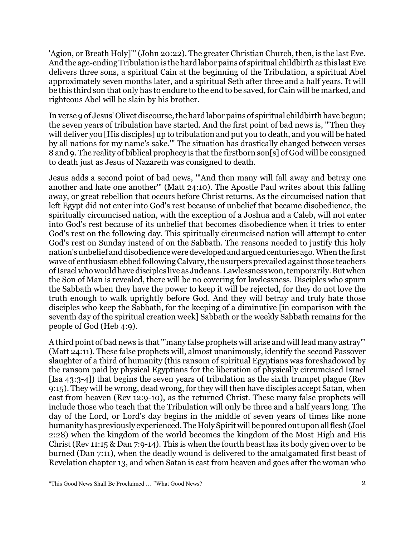'Agion, or Breath Holy]'" (John 20:22). The greater Christian Church, then, is the last Eve. And the age-ending Tribulation is the hard labor pains of spiritual childbirth as this last Eve delivers three sons, a spiritual Cain at the beginning of the Tribulation, a spiritual Abel approximately seven months later, and a spiritual Seth after three and a half years. It will be this third son that only has to endure to the end to be saved, for Cain will be marked, and righteous Abel will be slain by his brother.

In verse 9 of Jesus' Olivet discourse, the hard labor pains of spiritual childbirth have begun; the seven years of tribulation have started. And the first point of bad news is, '"Then they will deliver you [His disciples] up to tribulation and put you to death, and you will be hated by all nations for my name's sake.'" The situation has drastically changed between verses 8 and 9. The reality of biblical prophecy is that the firstborn son[s] of God will be consigned to death just as Jesus of Nazareth was consigned to death.

Jesus adds a second point of bad news, '"And then many will fall away and betray one another and hate one another'" (Matt 24:10). The Apostle Paul writes about this falling away, or great rebellion that occurs before Christ returns. As the circumcised nation that left Egypt did not enter into God's rest because of unbelief that became disobedience, the spiritually circumcised nation, with the exception of a Joshua and a Caleb, will not enter into God's rest because of its unbelief that becomes disobedience when it tries to enter God's rest on the following day. This spiritually circumcised nation will attempt to enter God's rest on Sunday instead of on the Sabbath. The reasons needed to justify this holy nation's unbelief and disobedience were developedandarguedcenturies ago. When the first wave of enthusiasm ebbed following Calvary, the usurpers prevailed against those teachers ofIsraelwho would have disciples live as Judeans. Lawlessness won, temporarily. Butwhen the Son of Man is revealed, there will be no covering for lawlessness. Disciples who spurn the Sabbath when they have the power to keep it will be rejected, for they do not love the truth enough to walk uprightly before God. And they will betray and truly hate those disciples who keep the Sabbath, for the keeping of a diminutive [in comparison with the seventh day of the spiritual creation week] Sabbath or the weekly Sabbath remains for the people of God (Heb 4:9).

A third point of bad news is that'"many false prophets will arise and will lead many astray"' (Matt 24:11). These false prophets will, almost unanimously, identify the second Passover slaughter of a third of humanity (this ransom of spiritual Egyptians was foreshadowed by the ransom paid by physical Egyptians for the liberation of physically circumcised Israel [Isa 43:3-4]) that begins the seven years of tribulation as the sixth trumpet plague (Rev 9:15). They will be wrong, dead wrong, for they will then have disciples accept Satan, when cast from heaven (Rev 12:9-10), as the returned Christ. These many false prophets will include those who teach that the Tribulation will only be three and a half years long. The day of the Lord, or Lord's day begins in the middle of seven years of times like none humanity has previously experienced. The Holy Spiritwill be poured out upon allflesh(Joel 2:28) when the kingdom of the world becomes the kingdom of the Most High and His Christ (Rev 11:15 & Dan 7:9-14). This is when the fourth beast has its body given over to be burned (Dan 7:11), when the deadly wound is delivered to the amalgamated first beast of Revelation chapter 13, and when Satan is cast from heaven and goes after the woman who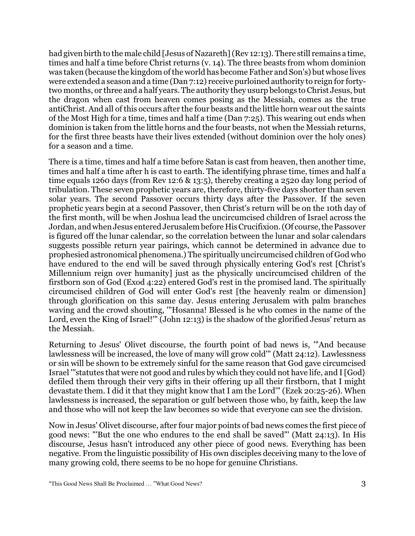had given birth to the male child [Jesus of Nazareth] (Rev 12:13). There still remains a time, times and half a time before Christ returns (v. 14). The three beasts from whom dominion was taken (because the kingdom of the world has become Father and Son's) but whose lives were extended a season and a time (Dan 7:12) receive purloined authority to reign for fortytwo months, or three and a half years. The authority they usurp belongs to Christ Jesus, but the dragon when cast from heaven comes posing as the Messiah, comes as the true antiChrist. And all of this occurs after the four beasts and the little horn wear out the saints of the Most High for a time, times and half a time (Dan 7:25). This wearing out ends when dominion is taken from the little horns and the four beasts, not when the Messiah returns, for the first three beasts have their lives extended (without dominion over the holy ones) for a season and a time.

There is a time, times and half a time before Satan is cast from heaven, then another time, times and half a time after h is cast to earth. The identifying phrase time, times and half a time equals 1260 days (from Rev 12:6 & 13:5), thereby creating a 2520 day long period of tribulation. These seven prophetic years are, therefore, thirty-five days shorter than seven solar years. The second Passover occurs thirty days after the Passover. If the seven prophetic years begin at a second Passover, then Christ's return will be on the 10th day of the first month, will be when Joshua lead the uncircumcised children of Israel across the Jordan, and when Jesus entered Jerusalem before His Crucifixion. (Of course, the Passover is figured off the lunar calendar, so the correlation between the lunar and solar calendars suggests possible return year pairings, which cannot be determined in advance due to prophesied astronomical phenomena.) The spiritually uncircumcised children of God who have endured to the end will be saved through physically entering God's rest [Christ's Millennium reign over humanity] just as the physically uncircumcised children of the firstborn son of God (Exod 4:22) entered God's rest in the promised land. The spiritually circumcised children of God will enter God's rest [the heavenly realm or dimension] through glorification on this same day. Jesus entering Jerusalem with palm branches waving and the crowd shouting, '"Hosanna! Blessed is he who comes in the name of the Lord, even the King of Israel!" (John 12:13) is the shadow of the glorified Jesus' return as the Messiah.

Returning to Jesus' Olivet discourse, the fourth point of bad news is, '"And because lawlessness will be increased, the love of many will grow cold'" (Matt 24:12). Lawlessness or sin will be shown to be extremely sinful for the same reason that God gave circumcised Israel '"statutes that were not good and rules by which they could not have life, and I [God} defiled them through their very gifts in their offering up all their firstborn, that I might devastate them. I did it that they might know that I am the Lord'" (Ezek 20:25-26). When lawlessness is increased, the separation or gulf between those who, by faith, keep the law and those who will not keep the law becomes so wide that everyone can see the division.

Now in Jesus' Olivet discourse, after four major points of bad news comes the first piece of good news: "'But the one who endures to the end shall be saved"' (Matt 24:13). In His discourse, Jesus hasn't introduced any other piece of good news. Everything has been negative. From the linguistic possibility of His own disciples deceiving many to the love of many growing cold, there seems to be no hope for genuine Christians.